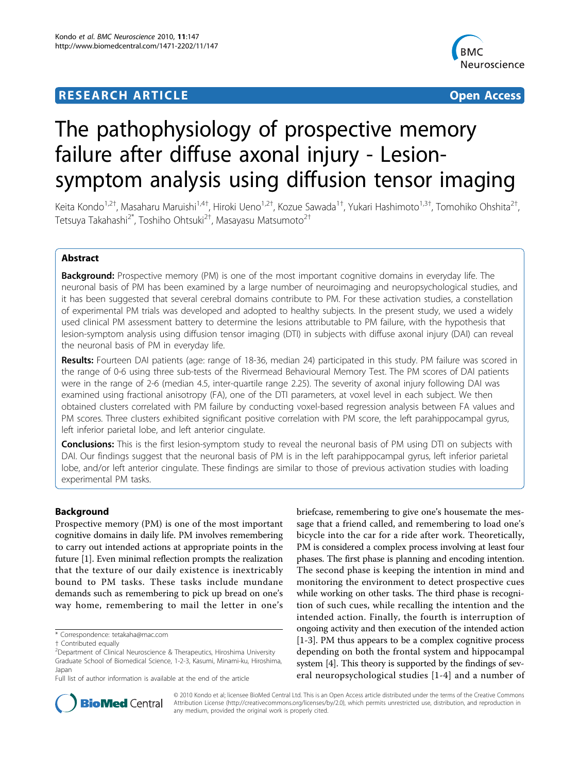## **RESEARCH ARTICLE Example 2014 12:30 The Contract of Contract ACCESS**



# The pathophysiology of prospective memory failure after diffuse axonal injury - Lesionsymptom analysis using diffusion tensor imaging

Keita Kondo<sup>1,2†</sup>, Masaharu Maruishi<sup>1,4†</sup>, Hiroki Ueno<sup>1,2†</sup>, Kozue Sawada<sup>1†</sup>, Yukari Hashimoto<sup>1,3†</sup>, Tomohiko Ohshita<sup>2†</sup> , Tetsuya Takahashi<sup>2\*</sup>, Toshiho Ohtsuki<sup>2†</sup>, Masayasu Matsumoto<sup>2†</sup>

## Abstract

**Background:** Prospective memory (PM) is one of the most important cognitive domains in everyday life. The neuronal basis of PM has been examined by a large number of neuroimaging and neuropsychological studies, and it has been suggested that several cerebral domains contribute to PM. For these activation studies, a constellation of experimental PM trials was developed and adopted to healthy subjects. In the present study, we used a widely used clinical PM assessment battery to determine the lesions attributable to PM failure, with the hypothesis that lesion-symptom analysis using diffusion tensor imaging (DTI) in subjects with diffuse axonal injury (DAI) can reveal the neuronal basis of PM in everyday life.

Results: Fourteen DAI patients (age: range of 18-36, median 24) participated in this study. PM failure was scored in the range of 0-6 using three sub-tests of the Rivermead Behavioural Memory Test. The PM scores of DAI patients were in the range of 2-6 (median 4.5, inter-quartile range 2.25). The severity of axonal injury following DAI was examined using fractional anisotropy (FA), one of the DTI parameters, at voxel level in each subject. We then obtained clusters correlated with PM failure by conducting voxel-based regression analysis between FA values and PM scores. Three clusters exhibited significant positive correlation with PM score, the left parahippocampal gyrus, left inferior parietal lobe, and left anterior cingulate.

Conclusions: This is the first lesion-symptom study to reveal the neuronal basis of PM using DTI on subjects with DAI. Our findings suggest that the neuronal basis of PM is in the left parahippocampal gyrus, left inferior parietal lobe, and/or left anterior cingulate. These findings are similar to those of previous activation studies with loading experimental PM tasks.

## Background

Prospective memory (PM) is one of the most important cognitive domains in daily life. PM involves remembering to carry out intended actions at appropriate points in the future [[1](#page-5-0)]. Even minimal reflection prompts the realization that the texture of our daily existence is inextricably bound to PM tasks. These tasks include mundane demands such as remembering to pick up bread on one's way home, remembering to mail the letter in one's

briefcase, remembering to give one's housemate the message that a friend called, and remembering to load one's bicycle into the car for a ride after work. Theoretically, PM is considered a complex process involving at least four phases. The first phase is planning and encoding intention. The second phase is keeping the intention in mind and monitoring the environment to detect prospective cues while working on other tasks. The third phase is recognition of such cues, while recalling the intention and the intended action. Finally, the fourth is interruption of ongoing activity and then execution of the intended action [[1](#page-5-0)[-3](#page-6-0)]. PM thus appears to be a complex cognitive process depending on both the frontal system and hippocampal system [[4](#page-6-0)]. This theory is supported by the findings of several neuropsychological studies [\[1-](#page-5-0)[4\]](#page-6-0) and a number of



© 2010 Kondo et al; licensee BioMed Central Ltd. This is an Open Access article distributed under the terms of the Creative Commons Attribution License [\(http://creativecommons.org/licenses/by/2.0](http://creativecommons.org/licenses/by/2.0)), which permits unrestricted use, distribution, and reproduction in any medium, provided the original work is properly cited.

<sup>\*</sup> Correspondence: [tetakaha@mac.com](mailto:tetakaha@mac.com)

<sup>†</sup> Contributed equally <sup>2</sup>

<sup>&</sup>lt;sup>2</sup>Department of Clinical Neuroscience & Therapeutics, Hiroshima University Graduate School of Biomedical Science, 1-2-3, Kasumi, Minami-ku, Hiroshima, Japan

Full list of author information is available at the end of the article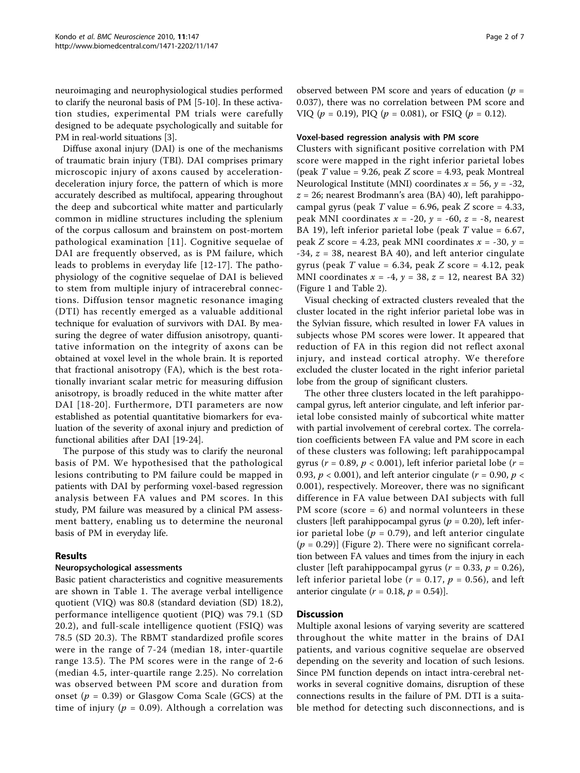neuroimaging and neurophysiological studies performed to clarify the neuronal basis of PM [[5-10\]](#page-6-0). In these activation studies, experimental PM trials were carefully designed to be adequate psychologically and suitable for PM in real-world situations [[3](#page-6-0)].

Diffuse axonal injury (DAI) is one of the mechanisms of traumatic brain injury (TBI). DAI comprises primary microscopic injury of axons caused by accelerationdeceleration injury force, the pattern of which is more accurately described as multifocal, appearing throughout the deep and subcortical white matter and particularly common in midline structures including the splenium of the corpus callosum and brainstem on post-mortem pathological examination [[11\]](#page-6-0). Cognitive sequelae of DAI are frequently observed, as is PM failure, which leads to problems in everyday life [[12](#page-6-0)-[17](#page-6-0)]. The pathophysiology of the cognitive sequelae of DAI is believed to stem from multiple injury of intracerebral connections. Diffusion tensor magnetic resonance imaging (DTI) has recently emerged as a valuable additional technique for evaluation of survivors with DAI. By measuring the degree of water diffusion anisotropy, quantitative information on the integrity of axons can be obtained at voxel level in the whole brain. It is reported that fractional anisotropy (FA), which is the best rotationally invariant scalar metric for measuring diffusion anisotropy, is broadly reduced in the white matter after DAI [[18](#page-6-0)-[20\]](#page-6-0). Furthermore, DTI parameters are now established as potential quantitative biomarkers for evaluation of the severity of axonal injury and prediction of functional abilities after DAI [\[19](#page-6-0)-[24\]](#page-6-0).

The purpose of this study was to clarify the neuronal basis of PM. We hypothesised that the pathological lesions contributing to PM failure could be mapped in patients with DAI by performing voxel-based regression analysis between FA values and PM scores. In this study, PM failure was measured by a clinical PM assessment battery, enabling us to determine the neuronal basis of PM in everyday life.

### Results

### Neuropsychological assessments

Basic patient characteristics and cognitive measurements are shown in Table [1.](#page-2-0) The average verbal intelligence quotient (VIQ) was 80.8 (standard deviation (SD) 18.2), performance intelligence quotient (PIQ) was 79.1 (SD 20.2), and full-scale intelligence quotient (FSIQ) was 78.5 (SD 20.3). The RBMT standardized profile scores were in the range of 7-24 (median 18, inter-quartile range 13.5). The PM scores were in the range of 2-6 (median 4.5, inter-quartile range 2.25). No correlation was observed between PM score and duration from onset ( $p = 0.39$ ) or Glasgow Coma Scale (GCS) at the time of injury ( $p = 0.09$ ). Although a correlation was

observed between PM score and years of education ( $p =$ 0.037), there was no correlation between PM score and VIQ ( $p = 0.19$ ), PIQ ( $p = 0.081$ ), or FSIQ ( $p = 0.12$ ).

## Voxel-based regression analysis with PM score

Clusters with significant positive correlation with PM score were mapped in the right inferior parietal lobes (peak T value = 9.26, peak Z score = 4.93, peak Montreal Neurological Institute (MNI) coordinates  $x = 56$ ,  $y = -32$ ,  $z = 26$ ; nearest Brodmann's area (BA) 40), left parahippocampal gyrus (peak  $T$  value = 6.96, peak  $Z$  score = 4.33, peak MNI coordinates  $x = -20$ ,  $y = -60$ ,  $z = -8$ , nearest BA 19), left inferior parietal lobe (peak  $T$  value = 6.67, peak Z score = 4.23, peak MNI coordinates  $x = -30$ ,  $y =$  $-34$ ,  $z = 38$ , nearest BA 40), and left anterior cingulate gyrus (peak  $T$  value = 6.34, peak  $Z$  score = 4.12, peak MNI coordinates  $x = -4$ ,  $y = 38$ ,  $z = 12$ , nearest BA 32) (Figure [1](#page-3-0) and Table [2](#page-3-0)).

Visual checking of extracted clusters revealed that the cluster located in the right inferior parietal lobe was in the Sylvian fissure, which resulted in lower FA values in subjects whose PM scores were lower. It appeared that reduction of FA in this region did not reflect axonal injury, and instead cortical atrophy. We therefore excluded the cluster located in the right inferior parietal lobe from the group of significant clusters.

The other three clusters located in the left parahippocampal gyrus, left anterior cingulate, and left inferior parietal lobe consisted mainly of subcortical white matter with partial involvement of cerebral cortex. The correlation coefficients between FA value and PM score in each of these clusters was following; left parahippocampal gyrus ( $r = 0.89$ ,  $p < 0.001$ ), left inferior parietal lobe ( $r =$ 0.93,  $p < 0.001$ ), and left anterior cingulate ( $r = 0.90$ ,  $p <$ 0.001), respectively. Moreover, there was no significant difference in FA value between DAI subjects with full PM score (score  $= 6$ ) and normal volunteers in these clusters [left parahippocampal gyrus ( $p = 0.20$ ), left inferior parietal lobe ( $p = 0.79$ ), and left anterior cingulate  $(p = 0.29)$ ] (Figure [2\)](#page-4-0). There were no significant correlation between FA values and times from the injury in each cluster [left parahippocampal gyrus ( $r = 0.33$ ,  $p = 0.26$ ), left inferior parietal lobe ( $r = 0.17$ ,  $p = 0.56$ ), and left anterior cingulate ( $r = 0.18$ ,  $p = 0.54$ ).

### **Discussion**

Multiple axonal lesions of varying severity are scattered throughout the white matter in the brains of DAI patients, and various cognitive sequelae are observed depending on the severity and location of such lesions. Since PM function depends on intact intra-cerebral networks in several cognitive domains, disruption of these connections results in the failure of PM. DTI is a suitable method for detecting such disconnections, and is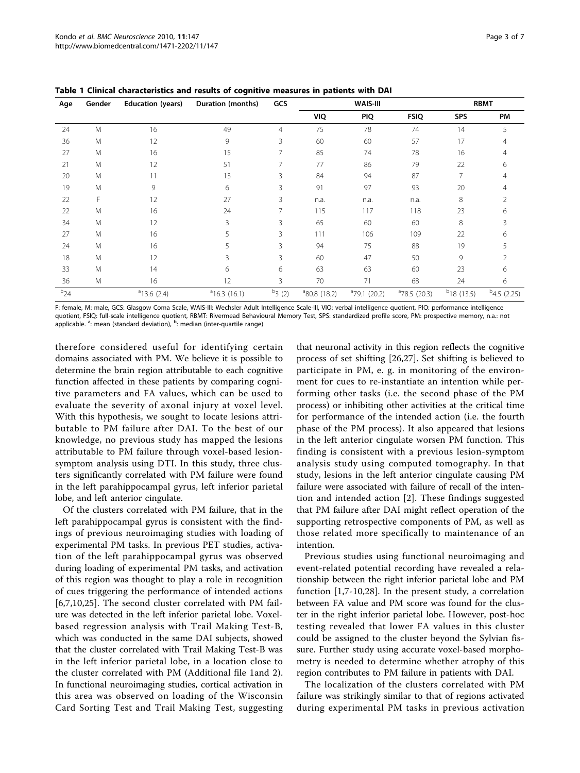| Age      | Gender | <b>Education (years)</b> | Duration (months) | GCS            |                          | WAIS-III        | <b>RBMT</b>     |                 |                |
|----------|--------|--------------------------|-------------------|----------------|--------------------------|-----------------|-----------------|-----------------|----------------|
|          |        |                          |                   |                | VIQ                      | PIQ             | <b>FSIQ</b>     | <b>SPS</b>      | PM             |
| 24       | M      | 16                       | 49                | $\overline{4}$ | 75                       | 78              | 74              | 14              | 5              |
| 36       | M      | 12                       | 9                 | 3              | 60                       | 60              | 57              | 17              |                |
| 27       | M      | 16                       | 15                | 7              | 85                       | 74              | 78              | 16              |                |
| 21       | M      | 12                       | 51                | 7              | 77                       | 86              | 79              | 22              | 6              |
| 20       | M      | 11                       | 13                | 3              | 84                       | 94              | 87              |                 | 4              |
| 19       | M      | 9                        | 6                 | 3              | 91                       | 97              | 93              | 20              |                |
| 22       | F      | 12                       | 27                | 3              | n.a.                     | n.a.            | n.a.            | 8               |                |
| 22       | M      | 16                       | 24                | 7              | 115                      | 117             | 118             | 23              | 6              |
| 34       | M      | 12                       | 3                 | 3              | 65                       | 60              | 60              | 8               | Β              |
| 27       | M      | 16                       | 5                 | 3              | 111                      | 106             | 109             | 22              | 6              |
| 24       | M      | 16                       | 5                 | 3              | 94                       | 75              | 88              | 19              |                |
| 18       | M      | 12                       | 3                 | 3              | 60                       | 47              | 50              | 9               |                |
| 33       | M      | 14                       | 6                 | 6              | 63                       | 63              | 60              | 23              | 6              |
| 36       | M      | 16                       | 12                | 3              | 70                       | 71              | 68              | 24              | 6              |
| $b_{24}$ |        | $a$ 13.6 (2.4)           | $a$ 16.3 (16.1)   | $b_3(2)$       | <sup>a</sup> 80.8 (18.2) | $a$ 79.1 (20.2) | $a$ 78.5 (20.3) | $b_{18}$ (13.5) | $b$ 4.5 (2.25) |

<span id="page-2-0"></span>Table 1 Clinical characteristics and results of cognitive measures in patients with DAI

F: female, M: male, GCS: Glasgow Coma Scale, WAIS-III: Wechsler Adult Intelligence Scale-III, VIQ: verbal intelligence quotient, PIQ: performance intelligence quotient, FSIQ: full-scale intelligence quotient, RBMT: Rivermead Behavioural Memory Test, SPS: standardized profile score, PM: prospective memory, n.a.: not applicable. <sup>a</sup>: mean (standard deviation), <sup>b</sup>: median (inter-quartile range)

therefore considered useful for identifying certain domains associated with PM. We believe it is possible to determine the brain region attributable to each cognitive function affected in these patients by comparing cognitive parameters and FA values, which can be used to evaluate the severity of axonal injury at voxel level. With this hypothesis, we sought to locate lesions attributable to PM failure after DAI. To the best of our knowledge, no previous study has mapped the lesions attributable to PM failure through voxel-based lesionsymptom analysis using DTI. In this study, three clusters significantly correlated with PM failure were found in the left parahippocampal gyrus, left inferior parietal lobe, and left anterior cingulate.

Of the clusters correlated with PM failure, that in the left parahippocampal gyrus is consistent with the findings of previous neuroimaging studies with loading of experimental PM tasks. In previous PET studies, activation of the left parahippocampal gyrus was observed during loading of experimental PM tasks, and activation of this region was thought to play a role in recognition of cues triggering the performance of intended actions [[6,7,10](#page-6-0),[25\]](#page-6-0). The second cluster correlated with PM failure was detected in the left inferior parietal lobe. Voxelbased regression analysis with Trail Making Test-B, which was conducted in the same DAI subjects, showed that the cluster correlated with Trail Making Test-B was in the left inferior parietal lobe, in a location close to the cluster correlated with PM (Additional file [1](#page-5-0)and [2](#page-5-0)). In functional neuroimaging studies, cortical activation in this area was observed on loading of the Wisconsin Card Sorting Test and Trail Making Test, suggesting

that neuronal activity in this region reflects the cognitive process of set shifting [\[26](#page-6-0),[27\]](#page-6-0). Set shifting is believed to participate in PM, e. g. in monitoring of the environment for cues to re-instantiate an intention while performing other tasks (i.e. the second phase of the PM process) or inhibiting other activities at the critical time for performance of the intended action (i.e. the fourth phase of the PM process). It also appeared that lesions in the left anterior cingulate worsen PM function. This finding is consistent with a previous lesion-symptom analysis study using computed tomography. In that study, lesions in the left anterior cingulate causing PM failure were associated with failure of recall of the intention and intended action [[2\]](#page-5-0). These findings suggested that PM failure after DAI might reflect operation of the supporting retrospective components of PM, as well as those related more specifically to maintenance of an intention.

Previous studies using functional neuroimaging and event-related potential recording have revealed a relationship between the right inferior parietal lobe and PM function [[1,](#page-5-0)[7-10,28\]](#page-6-0). In the present study, a correlation between FA value and PM score was found for the cluster in the right inferior parietal lobe. However, post-hoc testing revealed that lower FA values in this cluster could be assigned to the cluster beyond the Sylvian fissure. Further study using accurate voxel-based morphometry is needed to determine whether atrophy of this region contributes to PM failure in patients with DAI.

The localization of the clusters correlated with PM failure was strikingly similar to that of regions activated during experimental PM tasks in previous activation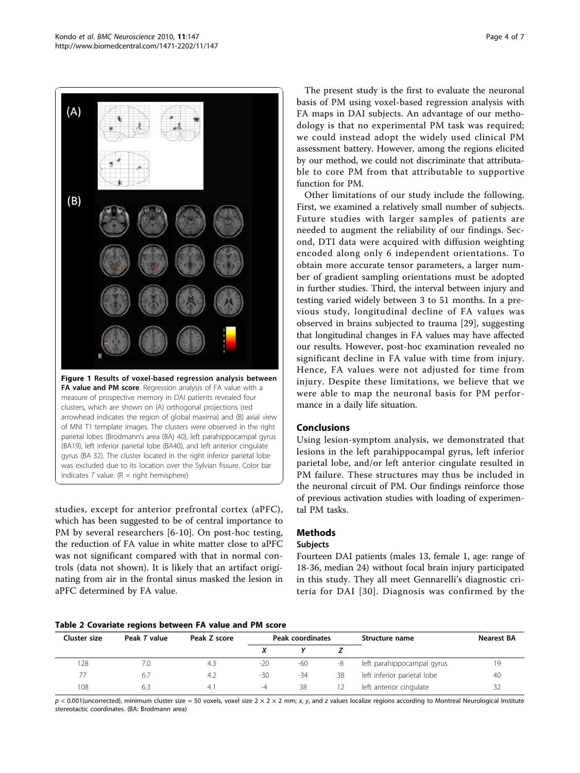<span id="page-3-0"></span>

measure of prospective memory in DAI patients revealed four clusters, which are shown on (A) orthogonal projections (red arrowhead indicates the region of global maxima) and (B) axial view of MNI T1 template images. The clusters were observed in the right parietal lobes (Brodmann's area (BA) 40), left parahippocampal gyrus (BA19), left inferior parietal lobe (BA40), and left anterior cingulate gyrus (BA 32). The cluster located in the right inferior parietal lobe was excluded due to its location over the Sylvian fissure. Color bar indicates  $T$  value. ( $R =$  right hemisphere)

studies, except for anterior prefrontal cortex (aPFC), which has been suggested to be of central importance to PM by several researchers [[6-10\]](#page-6-0). On post-hoc testing, the reduction of FA value in white matter close to aPFC was not significant compared with that in normal controls (data not shown). It is likely that an artifact originating from air in the frontal sinus masked the lesion in aPFC determined by FA value.

The present study is the first to evaluate the neuronal basis of PM using voxel-based regression analysis with FA maps in DAI subjects. An advantage of our methodology is that no experimental PM task was required; we could instead adopt the widely used clinical PM assessment battery. However, among the regions elicited by our method, we could not discriminate that attributable to core PM from that attributable to supportive function for PM.

Other limitations of our study include the following. First, we examined a relatively small number of subjects. Future studies with larger samples of patients are needed to augment the reliability of our findings. Second, DTI data were acquired with diffusion weighting encoded along only 6 independent orientations. To obtain more accurate tensor parameters, a larger number of gradient sampling orientations must be adopted in further studies. Third, the interval between injury and testing varied widely between 3 to 51 months. In a previous study, longitudinal decline of FA values was observed in brains subjected to trauma [\[29](#page-6-0)], suggesting that longitudinal changes in FA values may have affected our results. However, post-hoc examination revealed no significant decline in FA value with time from injury. Hence, FA values were not adjusted for time from injury. Despite these limitations, we believe that we were able to map the neuronal basis for PM performance in a daily life situation.

## Conclusions

Using lesion-symptom analysis, we demonstrated that lesions in the left parahippocampal gyrus, left inferior parietal lobe, and/or left anterior cingulate resulted in PM failure. These structures may thus be included in the neuronal circuit of PM. Our findings reinforce those of previous activation studies with loading of experimental PM tasks.

## Methods

### Subjects

Fourteen DAI patients (males 13, female 1, age: range of 18-36, median 24) without focal brain injury participated in this study. They all meet Gennarelli's diagnostic criteria for DAI [[30\]](#page-6-0). Diagnosis was confirmed by the

#### Table 2 Covariate regions between FA value and PM score

| Cluster size | Peak T value | Peak Z score | Peak coordinates |       |    | Structure name              | <b>Nearest BA</b> |
|--------------|--------------|--------------|------------------|-------|----|-----------------------------|-------------------|
|              |              |              |                  |       |    |                             |                   |
| 128          | 7.0          | 4.3          | $-20$            | $-60$ | -8 | left parahippocampal gyrus  | 19                |
| 77           | 6.7          | -4.2         | $-30$            | -34   | 38 | left inferior parietal lobe | 40                |
| 108          | 6.3          | 4.1          | $-4$             | 38    |    | left anterior cingulate     | 32                |

 $p < 0.001$ (uncorrected), minimum cluster size = 50 voxels, voxel size 2 × 2 × 2 mm; x, y, and z values localize regions according to Montreal Neurological Institute stereotactic coordinates. (BA: Brodmann area)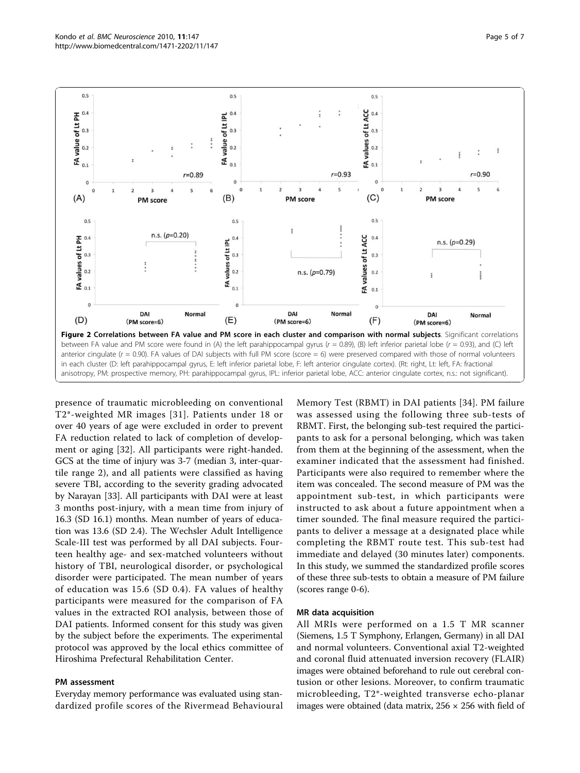<span id="page-4-0"></span>

presence of traumatic microbleeding on conventional T2\*-weighted MR images [[31](#page-6-0)]. Patients under 18 or over 40 years of age were excluded in order to prevent FA reduction related to lack of completion of development or aging [\[32](#page-6-0)]. All participants were right-handed. GCS at the time of injury was 3-7 (median 3, inter-quartile range 2), and all patients were classified as having severe TBI, according to the severity grading advocated by Narayan [\[33](#page-6-0)]. All participants with DAI were at least 3 months post-injury, with a mean time from injury of 16.3 (SD 16.1) months. Mean number of years of education was 13.6 (SD 2.4). The Wechsler Adult Intelligence Scale-III test was performed by all DAI subjects. Fourteen healthy age- and sex-matched volunteers without history of TBI, neurological disorder, or psychological disorder were participated. The mean number of years of education was 15.6 (SD 0.4). FA values of healthy participants were measured for the comparison of FA values in the extracted ROI analysis, between those of DAI patients. Informed consent for this study was given by the subject before the experiments. The experimental protocol was approved by the local ethics committee of Hiroshima Prefectural Rehabilitation Center.

#### PM assessment

Everyday memory performance was evaluated using standardized profile scores of the Rivermead Behavioural Memory Test (RBMT) in DAI patients [[34](#page-6-0)]. PM failure was assessed using the following three sub-tests of RBMT. First, the belonging sub-test required the participants to ask for a personal belonging, which was taken from them at the beginning of the assessment, when the examiner indicated that the assessment had finished. Participants were also required to remember where the item was concealed. The second measure of PM was the appointment sub-test, in which participants were instructed to ask about a future appointment when a timer sounded. The final measure required the participants to deliver a message at a designated place while completing the RBMT route test. This sub-test had immediate and delayed (30 minutes later) components. In this study, we summed the standardized profile scores of these three sub-tests to obtain a measure of PM failure (scores range 0-6).

#### MR data acquisition

All MRIs were performed on a 1.5 T MR scanner (Siemens, 1.5 T Symphony, Erlangen, Germany) in all DAI and normal volunteers. Conventional axial T2-weighted and coronal fluid attenuated inversion recovery (FLAIR) images were obtained beforehand to rule out cerebral contusion or other lesions. Moreover, to confirm traumatic microbleeding, T2\*-weighted transverse echo-planar images were obtained (data matrix,  $256 \times 256$  with field of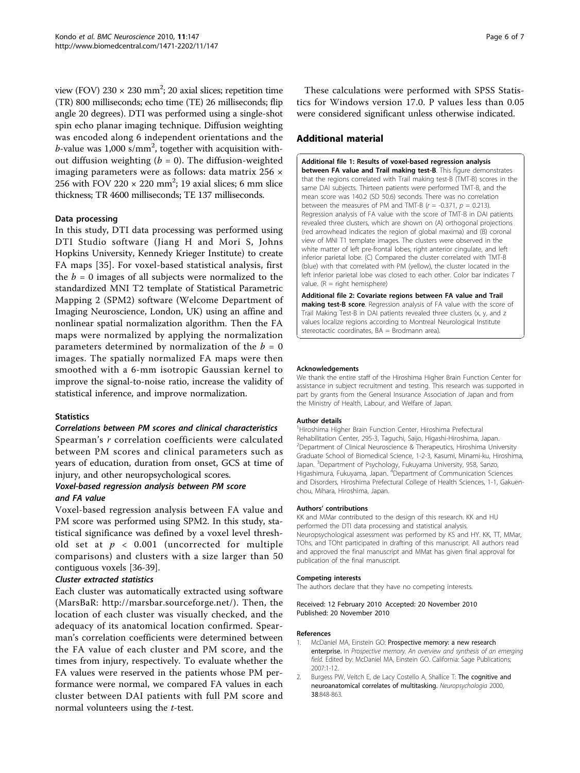<span id="page-5-0"></span>view (FOV)  $230 \times 230$  mm<sup>2</sup>; 20 axial slices; repetition time (TR) 800 milliseconds; echo time (TE) 26 milliseconds; flip angle 20 degrees). DTI was performed using a single-shot spin echo planar imaging technique. Diffusion weighting was encoded along 6 independent orientations and the *b*-value was 1,000 s/mm<sup>2</sup>, together with acquisition without diffusion weighting  $(b = 0)$ . The diffusion-weighted imaging parameters were as follows: data matrix 256 × 256 with FOV 220  $\times$  220 mm<sup>2</sup>; 19 axial slices; 6 mm slice thickness; TR 4600 milliseconds; TE 137 milliseconds.

### Data processing

In this study, DTI data processing was performed using DTI Studio software (Jiang H and Mori S, Johns Hopkins University, Kennedy Krieger Institute) to create FA maps [[35\]](#page-6-0). For voxel-based statistical analysis, first the  $b = 0$  images of all subjects were normalized to the standardized MNI T2 template of Statistical Parametric Mapping 2 (SPM2) software (Welcome Department of Imaging Neuroscience, London, UK) using an affine and nonlinear spatial normalization algorithm. Then the FA maps were normalized by applying the normalization parameters determined by normalization of the  $b = 0$ images. The spatially normalized FA maps were then smoothed with a 6-mm isotropic Gaussian kernel to improve the signal-to-noise ratio, increase the validity of statistical inference, and improve normalization.

#### **Statistics**

### Correlations between PM scores and clinical characteristics

Spearman's r correlation coefficients were calculated between PM scores and clinical parameters such as years of education, duration from onset, GCS at time of injury, and other neuropsychological scores.

## Voxel-based regression analysis between PM score and FA value

Voxel-based regression analysis between FA value and PM score was performed using SPM2. In this study, statistical significance was defined by a voxel level threshold set at  $p < 0.001$  (uncorrected for multiple comparisons) and clusters with a size larger than 50 contiguous voxels [\[36-39](#page-6-0)].

#### Cluster extracted statistics

Each cluster was automatically extracted using software (MarsBaR:<http://marsbar.sourceforge.net/>). Then, the location of each cluster was visually checked, and the adequacy of its anatomical location confirmed. Spearman's correlation coefficients were determined between the FA value of each cluster and PM score, and the times from injury, respectively. To evaluate whether the FA values were reserved in the patients whose PM performance were normal, we compared FA values in each cluster between DAI patients with full PM score and normal volunteers using the t-test.

These calculations were performed with SPSS Statistics for Windows version 17.0. P values less than 0.05 were considered significant unless otherwise indicated.

#### Additional material

[Additional file 1: R](http://www.biomedcentral.com/content/supplementary/1471-2202-11-147-S1.PDF)esults of voxel-based regression analysis between FA value and Trail making test-B. This figure demonstrates that the regions correlated with Trail making test-B (TMT-B) scores in the same DAI subjects. Thirteen patients were performed TMT-B, and the mean score was 140.2 (SD 50.6) seconds. There was no correlation between the measures of PM and TMT-B ( $r = -0.371$ ,  $p = 0.213$ ). Regression analysis of FA value with the score of TMT-B in DAI patients revealed three clusters, which are shown on (A) orthogonal projections (red arrowhead indicates the region of global maxima) and (B) coronal view of MNI T1 template images. The clusters were observed in the white matter of left pre-frontal lobes, right anterior cingulate, and left inferior parietal lobe. (C) Compared the cluster correlated with TMT-B (blue) with that correlated with PM (yellow), the cluster located in the left inferior parietal lobe was closed to each other. Color bar indicates T value.  $(R =$  right hemisphere)

[Additional file 2: C](http://www.biomedcentral.com/content/supplementary/1471-2202-11-147-S2.PDF)ovariate regions between FA value and Trail making test-B score. Regression analysis of FA value with the score of Trail Making Test-B in DAI patients revealed three clusters (x, y, and z values localize regions according to Montreal Neurological Institute stereotactic coordinates, BA = Brodmann area).

#### Acknowledgements

We thank the entire staff of the Hiroshima Higher Brain Function Center for assistance in subject recruitment and testing. This research was supported in part by grants from the General Insurance Association of Japan and from the Ministry of Health, Labour, and Welfare of Japan.

#### Author details

<sup>1</sup> Hiroshima Higher Brain Function Center, Hiroshima Prefectural Rehabilitation Center, 295-3, Taguchi, Saijo, Higashi-Hiroshima, Japan. <sup>2</sup>Department of Clinical Neuroscience & Therapeutics, Hiroshima University Graduate School of Biomedical Science, 1-2-3, Kasumi, Minami-ku, Hiroshima, Japan. <sup>3</sup>Department of Psychology, Fukuyama University, 958, Sanzo, Higashimura, Fukuyama, Japan. <sup>4</sup>Department of Communication Sciences and Disorders, Hiroshima Prefectural College of Health Sciences, 1-1, Gakuenchou, Mihara, Hiroshima, Japan.

#### Authors' contributions

KK and MMar contributed to the design of this research. KK and HU performed the DTI data processing and statistical analysis. Neuropsychological assessment was performed by KS and HY. KK, TT, MMar, TOhs, and TOht participated in drafting of this manuscript. All authors read and approved the final manuscript and MMat has given final approval for publication of the final manuscript.

#### Competing interests

The authors declare that they have no competing interests.

Received: 12 February 2010 Accepted: 20 November 2010 Published: 20 November 2010

#### References

- 1. McDaniel MA, Einstein GO: Prospective memory: a new research enterprise. In Prospective memory. An overview and synthesis of an emerging field. Edited by: McDaniel MA, Einstein GO. California: Sage Publications; 2007:1-12.
- 2. Burgess PW, Veitch E, de Lacy Costello A, Shallice T: [The cognitive and](http://www.ncbi.nlm.nih.gov/pubmed/10689059?dopt=Abstract) [neuroanatomical correlates of multitasking.](http://www.ncbi.nlm.nih.gov/pubmed/10689059?dopt=Abstract) Neuropsychologia 2000, 38:848-863.